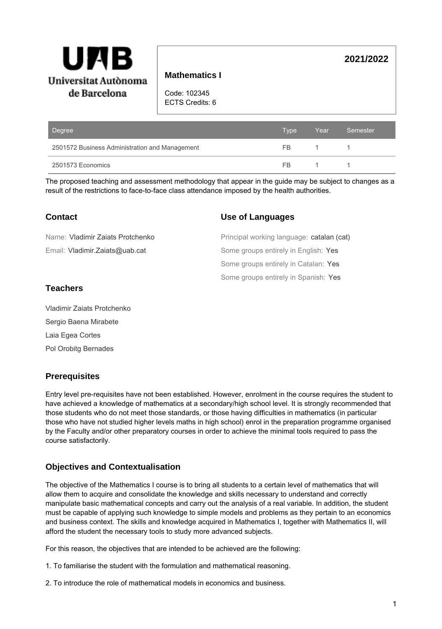

# **Mathematics I**

Code: 102345 ECTS Credits: 6

| Degree                                         | <b>Type</b> | Year. | Semester |
|------------------------------------------------|-------------|-------|----------|
| 2501572 Business Administration and Management | FB.         |       |          |
| 2501573 Economics                              | FB.         |       |          |

The proposed teaching and assessment methodology that appear in the guide may be subject to changes as a result of the restrictions to face-to-face class attendance imposed by the health authorities.

| Contact                          | <b>Use of Languages</b>                   |
|----------------------------------|-------------------------------------------|
| Name: Vladimir Zaiats Protchenko | Principal working language: catalan (cat) |
| Email: Vladimir.Zaiats@uab.cat   | Some groups entirely in English: Yes      |
|                                  | Some groups entirely in Catalan: Yes      |
|                                  | Some groups entirely in Spanish: Yes      |

# **Teachers**

Vladimir Zaiats Protchenko Sergio Baena Mirabete Laia Egea Cortes Pol Orobitg Bernades

# **Prerequisites**

Entry level pre-requisites have not been established. However, enrolment in the course requires the student to have achieved a knowledge of mathematics at a secondary/high school level. It is strongly recommended that those students who do not meet those standards, or those having difficulties in mathematics (in particular those who have not studied higher levels maths in high school) enrol in the preparation programme organised by the Faculty and/or other preparatory courses in order to achieve the minimal tools required to pass the course satisfactorily.

# **Objectives and Contextualisation**

The objective of the Mathematics I course is to bring all students to a certain level of mathematics that will allow them to acquire and consolidate the knowledge and skills necessary to understand and correctly manipulate basic mathematical concepts and carry out the analysis of a real variable. In addition, the student must be capable of applying such knowledge to simple models and problems as they pertain to an economics and business context. The skills and knowledge acquired in Mathematics I, together with Mathematics II, will afford the student the necessary tools to study more advanced subjects.

For this reason, the objectives that are intended to be achieved are the following:

1. To familiarise the student with the formulation and mathematical reasoning.

2. To introduce the role of mathematical models in economics and business.

**2021/2022**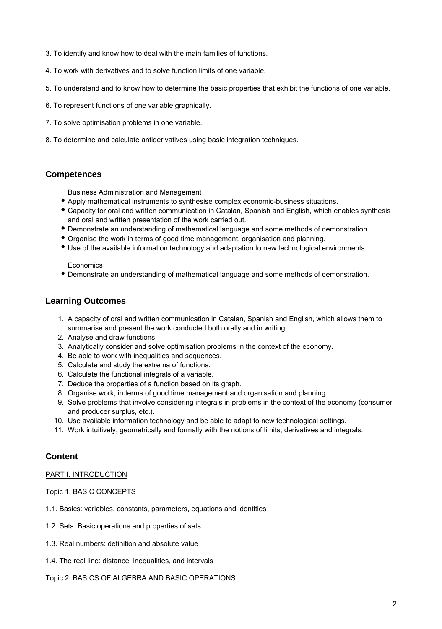- 3. To identify and know how to deal with the main families of functions.
- 4. To work with derivatives and to solve function limits of one variable.
- 5. To understand and to know how to determine the basic properties that exhibit the functions of one variable.
- 6. To represent functions of one variable graphically.
- 7. To solve optimisation problems in one variable.
- 8. To determine and calculate antiderivatives using basic integration techniques.

# **Competences**

Business Administration and Management

- Apply mathematical instruments to synthesise complex economic-business situations.
- Capacity for oral and written communication in Catalan, Spanish and English, which enables synthesis and oral and written presentation of the work carried out.
- Demonstrate an understanding of mathematical language and some methods of demonstration.
- Organise the work in terms of good time management, organisation and planning.
- Use of the available information technology and adaptation to new technological environments.

### Economics

Demonstrate an understanding of mathematical language and some methods of demonstration.

# **Learning Outcomes**

- 1. A capacity of oral and written communication in Catalan, Spanish and English, which allows them to summarise and present the work conducted both orally and in writing.
- 2. Analyse and draw functions.
- 3. Analytically consider and solve optimisation problems in the context of the economy.
- 4. Be able to work with inequalities and sequences.
- 5. Calculate and study the extrema of functions.
- 6. Calculate the functional integrals of a variable.
- 7. Deduce the properties of a function based on its graph.
- 8. Organise work, in terms of good time management and organisation and planning.
- 9. Solve problems that involve considering integrals in problems in the context of the economy (consumer and producer surplus, etc.).
- 10. Use available information technology and be able to adapt to new technological settings.
- 11. Work intuitively, geometrically and formally with the notions of limits, derivatives and integrals.

# **Content**

### PART I. INTRODUCTION

Topic 1. BASIC CONCEPTS

- 1.1. Basics: variables, constants, parameters, equations and identities
- 1.2. Sets. Basic operations and properties of sets
- 1.3. Real numbers: definition and absolute value
- 1.4. The real line: distance, inequalities, and intervals
- Topic 2. BASICS OF ALGEBRA AND BASIC OPERATIONS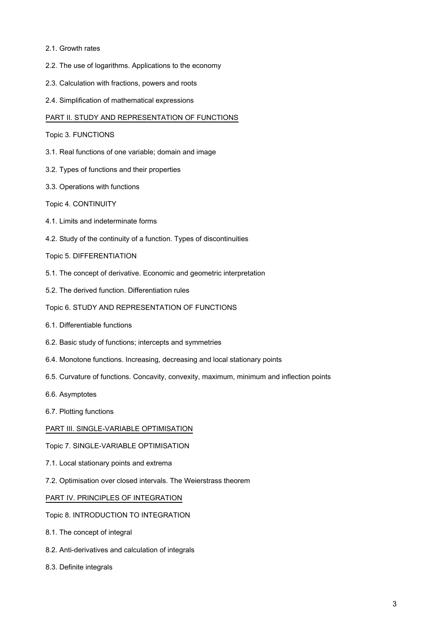- 2.1. Growth rates
- 2.2. The use of logarithms. Applications to the economy
- 2.3. Calculation with fractions, powers and roots
- 2.4. Simplification of mathematical expressions

### PART II. STUDY AND REPRESENTATION OF FUNCTIONS

#### Topic 3. FUNCTIONS

- 3.1. Real functions of one variable; domain and image
- 3.2. Types of functions and their properties
- 3.3. Operations with functions

### Topic 4. CONTINUITY

- 4.1. Limits and indeterminate forms
- 4.2. Study of the continuity of a function. Types of discontinuities
- Topic 5. DIFFERENTIATION
- 5.1. The concept of derivative. Economic and geometric interpretation
- 5.2. The derived function. Differentiation rules

### Topic 6. STUDY AND REPRESENTATION OF FUNCTIONS

- 6.1. Differentiable functions
- 6.2. Basic study of functions; intercepts and symmetries
- 6.4. Monotone functions. Increasing, decreasing and local stationary points
- 6.5. Curvature of functions. Concavity, convexity, maximum, minimum and inflection points
- 6.6. Asymptotes
- 6.7. Plotting functions

### PART III. SINGLE-VARIABLE OPTIMISATION

### Topic 7. SINGLE-VARIABLE OPTIMISATION

- 7.1. Local stationary points and extrema
- 7.2. Optimisation over closed intervals. The Weierstrass theorem

### PART IV. PRINCIPLES OF INTEGRATION

### Topic 8. INTRODUCTION TO INTEGRATION

- 8.1. The concept of integral
- 8.2. Anti-derivatives and calculation of integrals
- 8.3. Definite integrals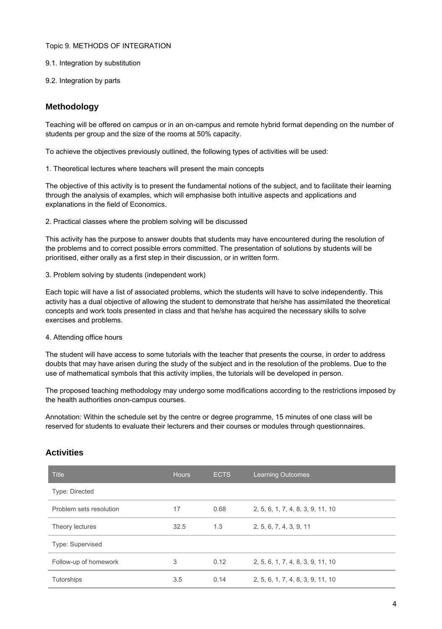### Topic 9. METHODS OF INTEGRATION

- 9.1. Integration by substitution
- 9.2. Integration by parts

## **Methodology**

Teaching will be offered on campus or in an on-campus and remote hybrid format depending on the number of students per group and the size of the rooms at 50% capacity.

To achieve the objectives previously outlined, the following types of activities will be used:

1. Theoretical lectures where teachers will present the main concepts

The objective of this activity is to present the fundamental notions of the subject, and to facilitate their learning through the analysis of examples, which will emphasise both intuitive aspects and applications and explanations in the field of Economics.

2. Practical classes where the problem solving will be discussed

This activity has the purpose to answer doubts that students may have encountered during the resolution of the problems and to correct possible errors committed. The presentation of solutions by students will be prioritised, either orally as a first step in their discussion, or in written form.

3. Problem solving by students (independent work)

Each topic will have a list of associated problems, which the students will have to solve independently. This activity has a dual objective of allowing the student to demonstrate that he/she has assimilated the theoretical concepts and work tools presented in class and that he/she has acquired the necessary skills to solve exercises and problems.

### 4. Attending office hours

The student will have access to some tutorials with the teacher that presents the course, in order to address doubts that may have arisen during the study of the subject and in the resolution of the problems. Due to the use of mathematical symbols that this activity implies, the tutorials will be developed in person.

The proposed teaching methodology may undergo some modifications according to the restrictions imposed by the health authorities onon-campus courses.

Annotation: Within the schedule set by the centre or degree programme, 15 minutes of one class will be reserved for students to evaluate their lecturers and their courses or modules through questionnaires.

| <b>Title</b>            | <b>Hours</b> | <b>ECTS</b> | <b>Learning Outcomes</b>          |
|-------------------------|--------------|-------------|-----------------------------------|
| Type: Directed          |              |             |                                   |
| Problem sets resolution | 17           | 0.68        | 2, 5, 6, 1, 7, 4, 8, 3, 9, 11, 10 |
| Theory lectures         | 32.5         | 1.3         | 2, 5, 6, 7, 4, 3, 9, 11           |
| Type: Supervised        |              |             |                                   |
| Follow-up of homework   | 3            | 0.12        | 2, 5, 6, 1, 7, 4, 8, 3, 9, 11, 10 |
| Tutorships              | 3.5          | 0.14        | 2, 5, 6, 1, 7, 4, 8, 3, 9, 11, 10 |

# **Activities**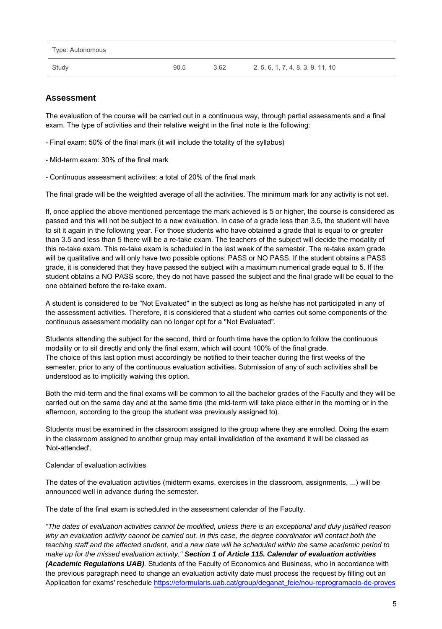| Type: Autonomous |      |      |                                   |
|------------------|------|------|-----------------------------------|
| Study            | 90.5 | 3.62 | 2, 5, 6, 1, 7, 4, 8, 3, 9, 11, 10 |

# **Assessment**

The evaluation of the course will be carried out in a continuous way, through partial assessments and a final exam. The type of activities and their relative weight in the final note is the following:

- Final exam: 50% of the final mark (it will include the totality of the syllabus)
- Mid-term exam: 30% of the final mark
- Continuous assessment activities: a total of 20% of the final mark

The final grade will be the weighted average of all the activities. The minimum mark for any activity is not set.

If, once applied the above mentioned percentage the mark achieved is 5 or higher, the course is considered as passed and this will not be subject to a new evaluation. In case of a grade less than 3.5, the student will have to sit it again in the following year. For those students who have obtained a grade that is equal to or greater than 3.5 and less than 5 there will be a re-take exam. The teachers of the subject will decide the modality of this re-take exam. This re-take exam is scheduled in the last week of the semester. The re-take exam grade will be qualitative and will only have two possible options: PASS or NO PASS. If the student obtains a PASS grade, it is considered that they have passed the subject with a maximum numerical grade equal to 5. If the student obtains a NO PASS score, they do not have passed the subject and the final grade will be equal to the one obtained before the re-take exam.

A student is considered to be "Not Evaluated" in the subject as long as he/she has not participated in any of the assessment activities. Therefore, it is considered that a student who carries out some components of the continuous assessment modality can no longer opt for a "Not Evaluated".

Students attending the subject for the second, third or fourth time have the option to follow the continuous modality or to sit directly and only the final exam, which will count 100% of the final grade. The choice of this last option must accordingly be notified to their teacher during the first weeks of the semester, prior to any of the continuous evaluation activities. Submission of any of such activities shall be understood as to implicitly waiving this option.

Both the mid-term and the final exams will be common to all the bachelor grades of the Faculty and they will be carried out on the same day and at the same time (the mid-term will take place either in the morning or in the afternoon, according to the group the student was previously assigned to).

Students must be examined in the classroom assigned to the group where they are enrolled. Doing the exam in the classroom assigned to another group may entail invalidation of the examand it will be classed as 'Not-attended'.

### Calendar of evaluation activities

The dates of the evaluation activities (midterm exams, exercises in the classroom, assignments, ...) will be announced well in advance during the semester.

The date of the final exam is scheduled in the assessment calendar of the Faculty.

"The dates of evaluation activities cannot be modified, unless there is an exceptional and duly justified reason why an evaluation activity cannot be carried out. In this case, the degree coordinator will contact both the teaching staff and the affected student, and a new date will be scheduled within the same academic period to make up for the missed evaluation activity." **Section 1 of Article 115. Calendar of evaluation activities (Academic Regulations UAB)**. Students of the Faculty of Economics and Business, who in accordance with the previous paragraph need to change an evaluation activity date must process the request by filling out an Application for exams' reschedule [https://eformularis.uab.cat/group/deganat\\_feie/nou-reprogramacio-de-proves](https://eformularis.uab.cat/group/deganat_feie/nou-reprogramacio-de-proves)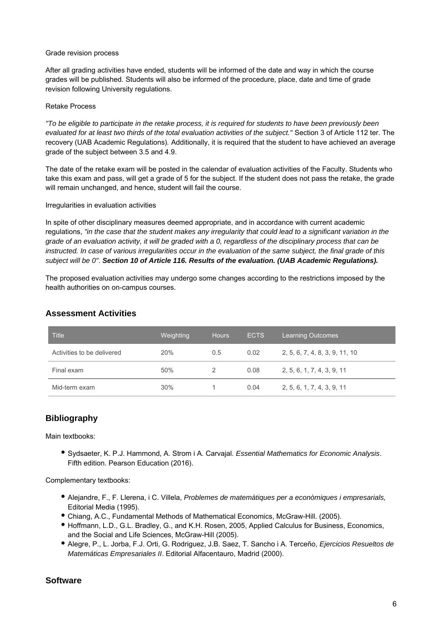### Grade revision process

After all grading activities have ended, students will be informed of the date and way in which the course grades will be published. Students will also be informed of the procedure, place, date and time of grade revision following University regulations.

### Retake Process

"To be eligible to participate in the retake process, it is required for students to have been previously been evaluated for at least two thirds of the total evaluation activities of the subject." Section 3 of Article 112 ter. The recovery (UAB Academic Regulations). Additionally, it is required that the student to have achieved an average grade of the subject between 3.5 and 4.9.

The date of the retake exam will be posted in the calendar of evaluation activities of the Faculty. Students who take this exam and pass, will get a grade of 5 for the subject. If the student does not pass the retake, the grade will remain unchanged, and hence, student will fail the course.

### Irregularities in evaluation activities

In spite of other disciplinary measures deemed appropriate, and in accordance with current academic regulations, "in the case that the student makes any irregularity that could lead to a significant variation in the grade of an evaluation activity, it will be graded with a 0, regardless of the disciplinary process that can be instructed. In case of various irregularities occur in the evaluation of the same subject, the final grade of this subject will be 0". **Section 10 of Article 116. Results of the evaluation. (UAB Academic Regulations).**

The proposed evaluation activities may undergo some changes according to the restrictions imposed by the health authorities on on-campus courses.

| <b>Title</b>               | Weighting | <b>Hours</b> | ECTS. | <b>Learning Outcomes</b>       |
|----------------------------|-----------|--------------|-------|--------------------------------|
| Activities to be delivered | 20%       | 0.5          | 0.02  | 2, 5, 6, 7, 4, 8, 3, 9, 11, 10 |
| Final exam                 | 50%       |              | 0.08  | 2, 5, 6, 1, 7, 4, 3, 9, 11     |
| Mid-term exam              | 30%       |              | 0.04  | 2, 5, 6, 1, 7, 4, 3, 9, 11     |

### **Assessment Activities**

# **Bibliography**

Main textbooks:

• Sydsaeter, K. P.J. Hammond, A. Strom i A. Carvajal. Essential Mathematics for Economic Analysis. Fifth edition. Pearson Education (2016).

Complementary textbooks:

- Alejandre, F., F. Llerena, i C. Villela, Problemes de matemàtiques per a econòmiques i empresarials, Editorial Media (1995).
- Chiang, A.C., Fundamental Methods of Mathematical Economics, McGraw-Hill. (2005).
- Hoffmann, L.D., G.L. Bradley, G., and K.H. Rosen, 2005, Applied Calculus for Business, Economics, and the Social and Life Sciences, McGraw-Hill (2005).
- Alegre, P., L. Jorba, F.J. Orti, G. Rodriguez, J.B. Saez, T. Sancho i A. Terceño, Ejercicios Resueltos de Matemáticas Empresariales II. Editorial Alfacentauro, Madrid (2000).